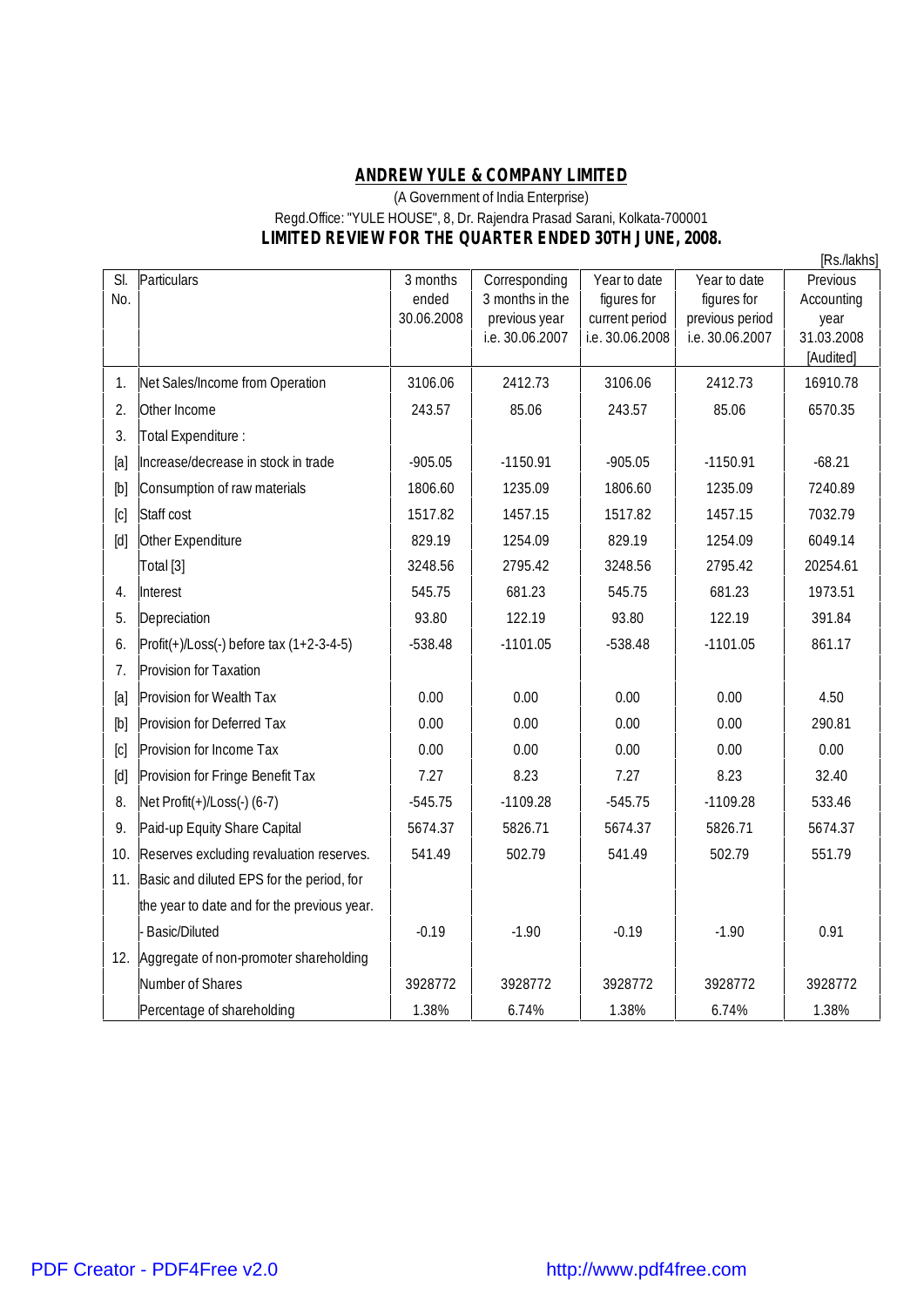## **ANDREW YULE & COMPANY LIMITED**

## (A Government of India Enterprise) Regd.Office: "YULE HOUSE", 8, Dr. Rajendra Prasad Sarani, Kolkata-700001 **LIMITED REVIEW FOR THE QUARTER ENDED 30TH JUNE, 2008.**

|                   |                                               |            |                                  |                                   |                                    | [Rs./lakhs]        |
|-------------------|-----------------------------------------------|------------|----------------------------------|-----------------------------------|------------------------------------|--------------------|
| SI.               | Particulars                                   | 3 months   | Corresponding                    | Year to date                      | Year to date                       | Previous           |
| No.               |                                               | ended      | 3 months in the                  | figures for                       | figures for                        | Accounting         |
|                   |                                               | 30.06.2008 | previous year<br>i.e. 30.06.2007 | current period<br>i.e. 30.06.2008 | previous period<br>i.e. 30.06.2007 | year<br>31.03.2008 |
|                   |                                               |            |                                  |                                   |                                    | [Audited]          |
| 1.                | Net Sales/Income from Operation               | 3106.06    | 2412.73                          | 3106.06                           | 2412.73                            | 16910.78           |
| 2.                | Other Income                                  | 243.57     | 85.06                            | 243.57                            | 85.06                              | 6570.35            |
| 3.                | Total Expenditure :                           |            |                                  |                                   |                                    |                    |
| [a]               | Increase/decrease in stock in trade           | $-905.05$  | $-1150.91$                       | $-905.05$                         | $-1150.91$                         | $-68.21$           |
| [b]               | Consumption of raw materials                  | 1806.60    | 1235.09                          | 1806.60                           | 1235.09                            | 7240.89            |
| $\lbrack$ C       | Staff cost                                    | 1517.82    | 1457.15                          | 1517.82                           | 1457.15                            | 7032.79            |
| $\lceil d \rceil$ | Other Expenditure                             | 829.19     | 1254.09                          | 829.19                            | 1254.09                            | 6049.14            |
|                   | Total [3]                                     | 3248.56    | 2795.42                          | 3248.56                           | 2795.42                            | 20254.61           |
| 4.                | Interest                                      | 545.75     | 681.23                           | 545.75                            | 681.23                             | 1973.51            |
| 5.                | Depreciation                                  | 93.80      | 122.19                           | 93.80                             | 122.19                             | 391.84             |
| 6.                | $ Profit(+)/Loss(-) before tax (1+2-3-4-5)$   | $-538.48$  | $-1101.05$                       | $-538.48$                         | $-1101.05$                         | 861.17             |
| 7.                | Provision for Taxation                        |            |                                  |                                   |                                    |                    |
| [a]               | Provision for Wealth Tax                      | 0.00       | 0.00                             | 0.00                              | 0.00                               | 4.50               |
| [b]               | Provision for Deferred Tax                    | 0.00       | 0.00                             | 0.00                              | 0.00                               | 290.81             |
| [c]               | Provision for Income Tax                      | 0.00       | 0.00                             | 0.00                              | 0.00                               | 0.00               |
| $[d]$             | Provision for Fringe Benefit Tax              | 7.27       | 8.23                             | 7.27                              | 8.23                               | 32.40              |
| 8.                | Net Profit(+)/Loss(-) (6-7)                   | $-545.75$  | $-1109.28$                       | $-545.75$                         | $-1109.28$                         | 533.46             |
| 9.                | Paid-up Equity Share Capital                  | 5674.37    | 5826.71                          | 5674.37                           | 5826.71                            | 5674.37            |
| 10.               | Reserves excluding revaluation reserves.      | 541.49     | 502.79                           | 541.49                            | 502.79                             | 551.79             |
|                   | 11. Basic and diluted EPS for the period, for |            |                                  |                                   |                                    |                    |
|                   | the year to date and for the previous year.   |            |                                  |                                   |                                    |                    |
|                   | <b>Basic/Diluted</b>                          | $-0.19$    | $-1.90$                          | $-0.19$                           | $-1.90$                            | 0.91               |
|                   | 12. Aggregate of non-promoter shareholding    |            |                                  |                                   |                                    |                    |
|                   | Number of Shares                              | 3928772    | 3928772                          | 3928772                           | 3928772                            | 3928772            |
|                   | Percentage of shareholding                    | 1.38%      | 6.74%                            | 1.38%                             | 6.74%                              | 1.38%              |